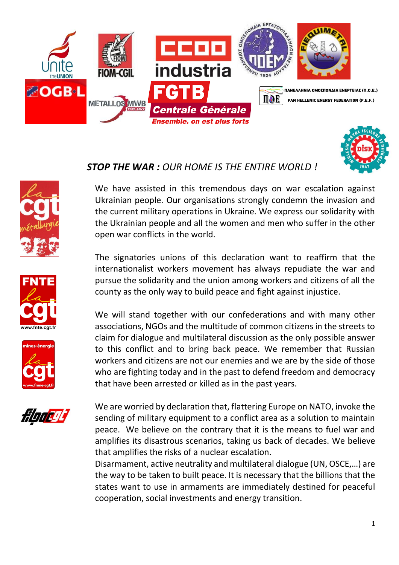







w.fnte.cgt.f



We have assisted in this tremendous days on war escalation against Ukrainian people. Our organisations strongly condemn the invasion and the current military operations in Ukraine. We express our solidarity with the Ukrainian people and all the women and men who suffer in the other open war conflicts in the world.

The signatories unions of this declaration want to reaffirm that the internationalist workers movement has always repudiate the war and pursue the solidarity and the union among workers and citizens of all the county as the only way to build peace and fight against injustice.

We will stand together with our confederations and with many other associations, NGOs and the multitude of common citizens in the streets to claim for dialogue and multilateral discussion as the only possible answer to this conflict and to bring back peace. We remember that Russian workers and citizens are not our enemies and we are by the side of those who are fighting today and in the past to defend freedom and democracy that have been arrested or killed as in the past years.



We are worried by declaration that, flattering Europe on NATO, invoke the sending of military equipment to a conflict area as a solution to maintain peace. We believe on the contrary that it is the means to fuel war and amplifies its disastrous scenarios, taking us back of decades. We believe that amplifies the risks of a nuclear escalation.

Disarmament, active neutrality and multilateral dialogue (UN, OSCE,…) are the way to be taken to built peace. It is necessary that the billions that the states want to use in armaments are immediately destined for peaceful cooperation, social investments and energy transition.